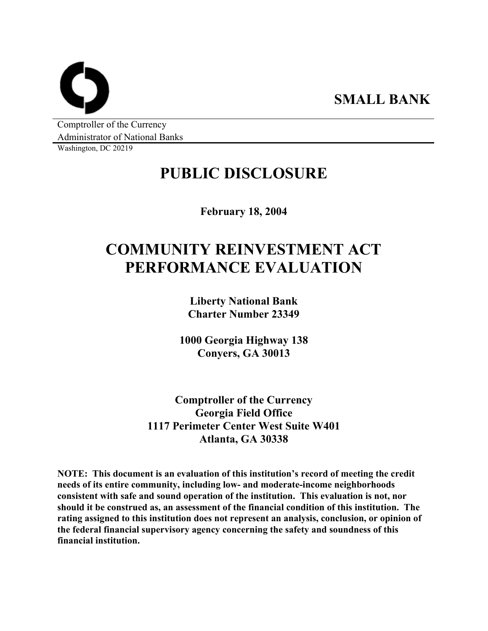**SMALL BANK** 

Comptroller of the Currency Administrator of National Banks

Washington, DC 20219

## **PUBLIC DISCLOSURE**

**February 18, 2004** 

# **COMMUNITY REINVESTMENT ACT PERFORMANCE EVALUATION**

**Liberty National Bank Charter Number 23349** 

**1000 Georgia Highway 138 Conyers, GA 30013** 

**Comptroller of the Currency Georgia Field Office 1117 Perimeter Center West Suite W401 Atlanta, GA 30338** 

**NOTE: This document is an evaluation of this institution's record of meeting the credit needs of its entire community, including low- and moderate-income neighborhoods consistent with safe and sound operation of the institution. This evaluation is not, nor should it be construed as, an assessment of the financial condition of this institution. The rating assigned to this institution does not represent an analysis, conclusion, or opinion of the federal financial supervisory agency concerning the safety and soundness of this financial institution.**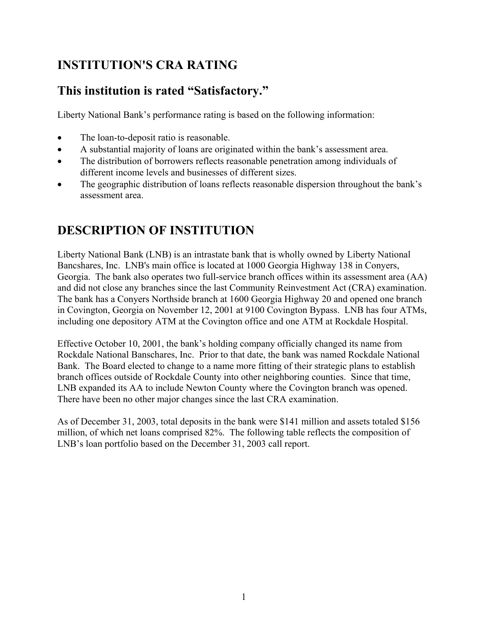### **INSTITUTION'S CRA RATING**

### **This institution is rated "Satisfactory."**

Liberty National Bank's performance rating is based on the following information:

- The loan-to-deposit ratio is reasonable.
- A substantial majority of loans are originated within the bank's assessment area.
- The distribution of borrowers reflects reasonable penetration among individuals of different income levels and businesses of different sizes.
- The geographic distribution of loans reflects reasonable dispersion throughout the bank's assessment area.

### **DESCRIPTION OF INSTITUTION**

Liberty National Bank (LNB) is an intrastate bank that is wholly owned by Liberty National Bancshares, Inc. LNB's main office is located at 1000 Georgia Highway 138 in Conyers, Georgia. The bank also operates two full-service branch offices within its assessment area (AA) and did not close any branches since the last Community Reinvestment Act (CRA) examination. The bank has a Conyers Northside branch at 1600 Georgia Highway 20 and opened one branch in Covington, Georgia on November 12, 2001 at 9100 Covington Bypass. LNB has four ATMs, including one depository ATM at the Covington office and one ATM at Rockdale Hospital.

Effective October 10, 2001, the bank's holding company officially changed its name from Rockdale National Banschares, Inc. Prior to that date, the bank was named Rockdale National Bank. The Board elected to change to a name more fitting of their strategic plans to establish branch offices outside of Rockdale County into other neighboring counties. Since that time, LNB expanded its AA to include Newton County where the Covington branch was opened. There have been no other major changes since the last CRA examination.

As of December 31, 2003, total deposits in the bank were \$141 million and assets totaled \$156 million, of which net loans comprised 82%. The following table reflects the composition of LNB's loan portfolio based on the December 31, 2003 call report.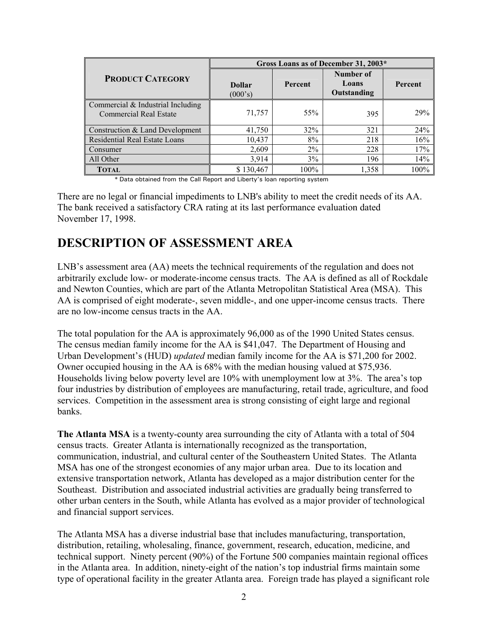|                                                                      | Gross Loans as of December 31, 2003* |         |                                   |         |  |  |  |
|----------------------------------------------------------------------|--------------------------------------|---------|-----------------------------------|---------|--|--|--|
| <b>PRODUCT CATEGORY</b>                                              | <b>Dollar</b><br>(000's)             | Percent | Number of<br>Loans<br>Outstanding | Percent |  |  |  |
| Commercial $&$ Industrial Including<br><b>Commercial Real Estate</b> | 71,757                               | 55%     | 395                               | 29%     |  |  |  |
| Construction & Land Development                                      | 41,750                               | 32%     | 321                               | 24%     |  |  |  |
| Residential Real Estate Loans                                        | 10,437                               | 8%      | 218                               | 16%     |  |  |  |
| Consumer                                                             | 2,609                                | $2\%$   | 228                               | 17%     |  |  |  |
| All Other                                                            | 3,914                                | 3%      | 196                               | 14%     |  |  |  |
| <b>TOTAL</b>                                                         | \$130,467                            | 100%    | 1,358                             | 100%    |  |  |  |

<sup>\*</sup> Data obtained from the Call Report and Liberty's loan reporting system

There are no legal or financial impediments to LNB's ability to meet the credit needs of its AA. The bank received a satisfactory CRA rating at its last performance evaluation dated November 17, 1998.

### **DESCRIPTION OF ASSESSMENT AREA**

LNB's assessment area (AA) meets the technical requirements of the regulation and does not arbitrarily exclude low- or moderate-income census tracts. The AA is defined as all of Rockdale and Newton Counties, which are part of the Atlanta Metropolitan Statistical Area (MSA). This AA is comprised of eight moderate-, seven middle-, and one upper-income census tracts. There are no low-income census tracts in the AA.

The total population for the AA is approximately 96,000 as of the 1990 United States census. The census median family income for the AA is \$41,047. The Department of Housing and Urban Development's (HUD) *updated* median family income for the AA is \$71,200 for 2002. Owner occupied housing in the AA is 68% with the median housing valued at \$75,936. Households living below poverty level are 10% with unemployment low at 3%. The area's top four industries by distribution of employees are manufacturing, retail trade, agriculture, and food services. Competition in the assessment area is strong consisting of eight large and regional banks.

**The Atlanta MSA** is a twenty-county area surrounding the city of Atlanta with a total of 504 census tracts. Greater Atlanta is internationally recognized as the transportation, communication, industrial, and cultural center of the Southeastern United States. The Atlanta MSA has one of the strongest economies of any major urban area. Due to its location and extensive transportation network, Atlanta has developed as a major distribution center for the Southeast. Distribution and associated industrial activities are gradually being transferred to other urban centers in the South, while Atlanta has evolved as a major provider of technological and financial support services.

The Atlanta MSA has a diverse industrial base that includes manufacturing, transportation, distribution, retailing, wholesaling, finance, government, research, education, medicine, and technical support. Ninety percent (90%) of the Fortune 500 companies maintain regional offices in the Atlanta area. In addition, ninety-eight of the nation's top industrial firms maintain some type of operational facility in the greater Atlanta area. Foreign trade has played a significant role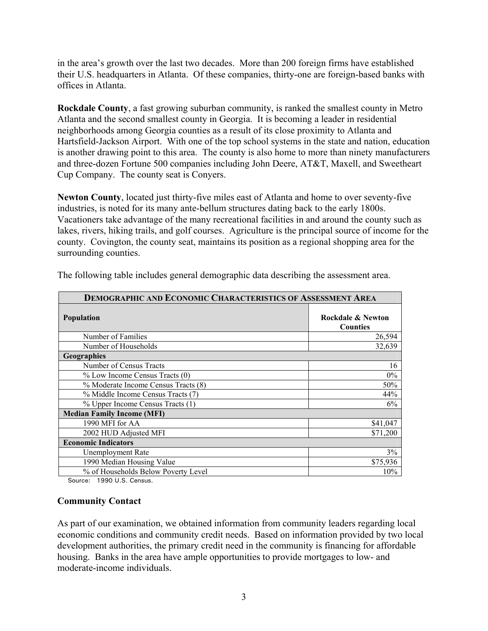in the area's growth over the last two decades. More than 200 foreign firms have established their U.S. headquarters in Atlanta. Of these companies, thirty-one are foreign-based banks with offices in Atlanta.

**Rockdale County**, a fast growing suburban community, is ranked the smallest county in Metro Atlanta and the second smallest county in Georgia. It is becoming a leader in residential neighborhoods among Georgia counties as a result of its close proximity to Atlanta and Hartsfield-Jackson Airport. With one of the top school systems in the state and nation, education is another drawing point to this area. The county is also home to more than ninety manufacturers and three-dozen Fortune 500 companies including John Deere, AT&T, Maxell, and Sweetheart Cup Company. The county seat is Conyers.

**Newton County**, located just thirty-five miles east of Atlanta and home to over seventy-five industries, is noted for its many ante-bellum structures dating back to the early 1800s. Vacationers take advantage of the many recreational facilities in and around the county such as lakes, rivers, hiking trails, and golf courses. Agriculture is the principal source of income for the county. Covington, the county seat, maintains its position as a regional shopping area for the surrounding counties.

| <b>DEMOGRAPHIC AND ECONOMIC CHARACTERISTICS OF ASSESSMENT AREA</b> |                                      |  |  |  |  |  |
|--------------------------------------------------------------------|--------------------------------------|--|--|--|--|--|
| <b>Population</b>                                                  | Rockdale & Newton<br><b>Counties</b> |  |  |  |  |  |
| Number of Families                                                 | 26,594                               |  |  |  |  |  |
| Number of Households                                               | 32,639                               |  |  |  |  |  |
| <b>Geographies</b>                                                 |                                      |  |  |  |  |  |
| Number of Census Tracts                                            | 16                                   |  |  |  |  |  |
| % Low Income Census Tracts (0)                                     | $0\%$                                |  |  |  |  |  |
| % Moderate Income Census Tracts (8)                                | 50%                                  |  |  |  |  |  |
| % Middle Income Census Tracts (7)                                  | 44%                                  |  |  |  |  |  |
| % Upper Income Census Tracts (1)                                   | 6%                                   |  |  |  |  |  |
| <b>Median Family Income (MFI)</b>                                  |                                      |  |  |  |  |  |
| 1990 MFI for AA                                                    | \$41,047                             |  |  |  |  |  |
| 2002 HUD Adjusted MFI                                              | \$71,200                             |  |  |  |  |  |
| <b>Economic Indicators</b>                                         |                                      |  |  |  |  |  |
| Unemployment Rate                                                  | 3%                                   |  |  |  |  |  |
| 1990 Median Housing Value                                          | \$75,936                             |  |  |  |  |  |
| % of Households Below Poverty Level                                | 10%                                  |  |  |  |  |  |

The following table includes general demographic data describing the assessment area.

Source: 1990 U.S. Census.

#### **Community Contact**

As part of our examination, we obtained information from community leaders regarding local economic conditions and community credit needs. Based on information provided by two local development authorities, the primary credit need in the community is financing for affordable housing. Banks in the area have ample opportunities to provide mortgages to low- and moderate-income individuals.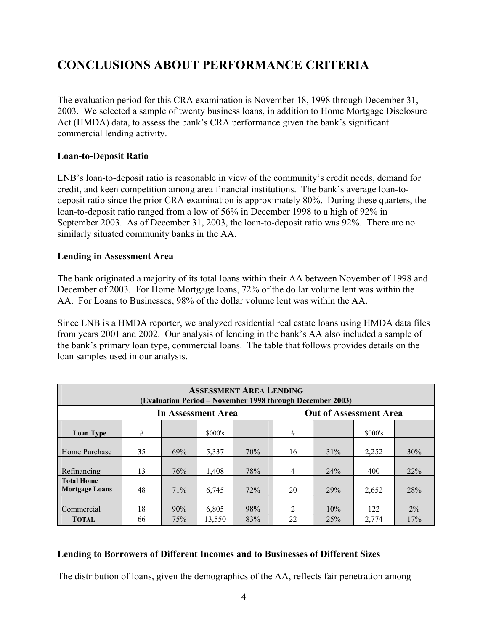### **CONCLUSIONS ABOUT PERFORMANCE CRITERIA**

The evaluation period for this CRA examination is November 18, 1998 through December 31, 2003. We selected a sample of twenty business loans, in addition to Home Mortgage Disclosure Act (HMDA) data, to assess the bank's CRA performance given the bank's significant commercial lending activity.

### **Loan-to-Deposit Ratio**

LNB's loan-to-deposit ratio is reasonable in view of the community's credit needs, demand for credit, and keen competition among area financial institutions. The bank's average loan-todeposit ratio since the prior CRA examination is approximately 80%. During these quarters, the loan-to-deposit ratio ranged from a low of 56% in December 1998 to a high of 92% in September 2003. As of December 31, 2003, the loan-to-deposit ratio was 92%. There are no similarly situated community banks in the AA.

#### **Lending in Assessment Area**

The bank originated a majority of its total loans within their AA between November of 1998 and December of 2003. For Home Mortgage loans, 72% of the dollar volume lent was within the AA. For Loans to Businesses, 98% of the dollar volume lent was within the AA.

Since LNB is a HMDA reporter, we analyzed residential real estate loans using HMDA data files from years 2001 and 2002. Our analysis of lending in the bank's AA also included a sample of the bank's primary loan type, commercial loans. The table that follows provides details on the loan samples used in our analysis.

| <b>ASSESSMENT AREA LENDING</b><br>(Evaluation Period - November 1998 through December 2003) |                    |     |         |     |                               |     |         |       |  |
|---------------------------------------------------------------------------------------------|--------------------|-----|---------|-----|-------------------------------|-----|---------|-------|--|
|                                                                                             | In Assessment Area |     |         |     | <b>Out of Assessment Area</b> |     |         |       |  |
| <b>Loan Type</b>                                                                            | #                  |     | \$000's |     | #                             |     | \$000's |       |  |
| Home Purchase                                                                               | 35                 | 69% | 5,337   | 70% | 16                            | 31% | 2,252   | 30%   |  |
| Refinancing                                                                                 | 13                 | 76% | 1,408   | 78% | 4                             | 24% | 400     | 22%   |  |
| <b>Total Home</b><br><b>Mortgage Loans</b>                                                  | 48                 | 71% | 6,745   | 72% | 20                            | 29% | 2,652   | 28%   |  |
| Commercial                                                                                  | 18                 | 90% | 6,805   | 98% | $\mathfrak{D}$                | 10% | 122     | $2\%$ |  |
| <b>TOTAL</b>                                                                                | 66                 | 75% | 13,550  | 83% | 22                            | 25% | 2,774   | 17%   |  |

#### **Lending to Borrowers of Different Incomes and to Businesses of Different Sizes**

The distribution of loans, given the demographics of the AA, reflects fair penetration among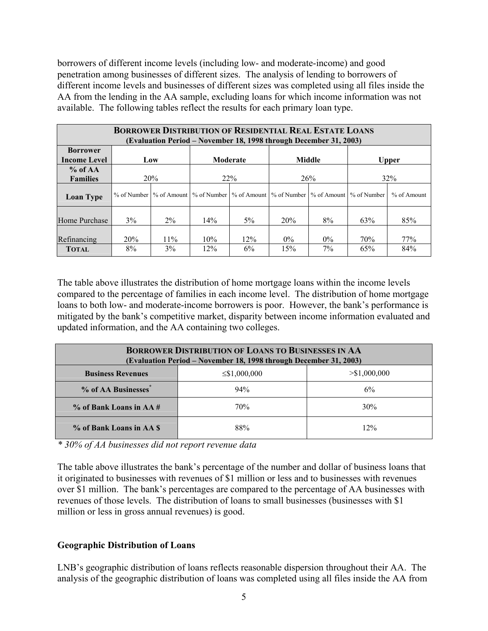borrowers of different income levels (including low- and moderate-income) and good penetration among businesses of different sizes. The analysis of lending to borrowers of different income levels and businesses of different sizes was completed using all files inside the AA from the lending in the AA sample, excluding loans for which income information was not available. The following tables reflect the results for each primary loan type.

| <b>BORROWER DISTRIBUTION OF RESIDENTIAL REAL ESTATE LOANS</b><br>(Evaluation Period – November 18, 1998 through December 31, 2003) |                                                  |                           |            |           |                                                       |                |             |               |  |  |
|------------------------------------------------------------------------------------------------------------------------------------|--------------------------------------------------|---------------------------|------------|-----------|-------------------------------------------------------|----------------|-------------|---------------|--|--|
| <b>Borrower</b><br><b>Income Level</b>                                                                                             | <b>Middle</b><br>Moderate<br><b>Upper</b><br>Low |                           |            |           |                                                       |                |             |               |  |  |
| $%$ of AA<br><b>Families</b>                                                                                                       |                                                  | 20%                       |            | 22%       |                                                       | 26%            |             | 32%           |  |  |
| <b>Loan Type</b>                                                                                                                   |                                                  | % of Number   % of Amount |            |           | % of Number   % of Amount   % of Number   % of Amount |                | % of Number | $%$ of Amount |  |  |
| Home Purchase                                                                                                                      | 3%                                               | 2%                        | 14%        | $5\%$     | 20%                                                   | 8%             | 63%         | 85%           |  |  |
| Refinancing<br><b>TOTAL</b>                                                                                                        | 20%<br>8%                                        | $11\%$<br>3%              | 10%<br>12% | 12%<br>6% | $0\%$<br>15%                                          | $0\%$<br>$7\%$ | 70%<br>65%  | 77%<br>84%    |  |  |

The table above illustrates the distribution of home mortgage loans within the income levels compared to the percentage of families in each income level. The distribution of home mortgage loans to both low- and moderate-income borrowers is poor. However, the bank's performance is mitigated by the bank's competitive market, disparity between income information evaluated and updated information, and the AA containing two colleges.

| <b>BORROWER DISTRIBUTION OF LOANS TO BUSINESSES IN AA</b><br>(Evaluation Period – November 18, 1998 through December 31, 2003) |     |     |  |  |  |  |  |
|--------------------------------------------------------------------------------------------------------------------------------|-----|-----|--|--|--|--|--|
| <b>Business Revenues</b><br>$>$ \$1,000,000<br>$\leq$ \$1,000,000                                                              |     |     |  |  |  |  |  |
| % of AA Businesses <sup>*</sup>                                                                                                | 94% | 6%  |  |  |  |  |  |
| $\%$ of Bank Loans in AA $\#$                                                                                                  | 70% | 30% |  |  |  |  |  |
| % of Bank Loans in AA S                                                                                                        | 88% | 12% |  |  |  |  |  |

*\* 30% of AA businesses did not report revenue data* 

The table above illustrates the bank's percentage of the number and dollar of business loans that it originated to businesses with revenues of \$1 million or less and to businesses with revenues over \$1 million. The bank's percentages are compared to the percentage of AA businesses with revenues of those levels. The distribution of loans to small businesses (businesses with \$1 million or less in gross annual revenues) is good.

### **Geographic Distribution of Loans**

LNB's geographic distribution of loans reflects reasonable dispersion throughout their AA. The analysis of the geographic distribution of loans was completed using all files inside the AA from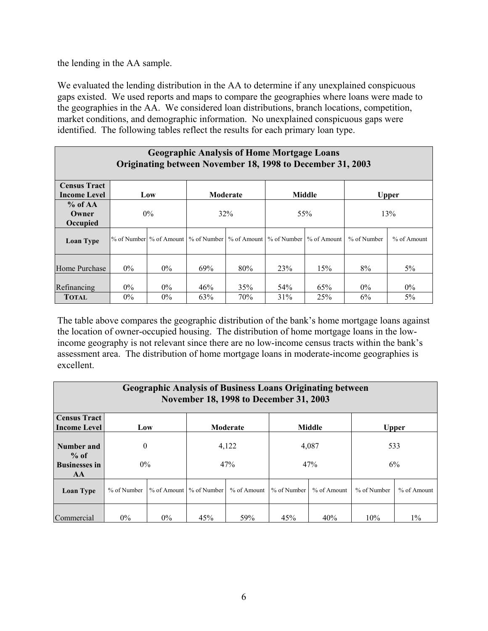the lending in the AA sample.

We evaluated the lending distribution in the AA to determine if any unexplained conspicuous gaps existed. We used reports and maps to compare the geographies where loans were made to the geographies in the AA. We considered loan distributions, branch locations, competition, market conditions, and demographic information. No unexplained conspicuous gaps were identified. The following tables reflect the results for each primary loan type.

| <b>Geographic Analysis of Home Mortgage Loans</b><br>Originating between November 18, 1998 to December 31, 2003 |                           |                                                     |            |            |                        |               |             |              |  |
|-----------------------------------------------------------------------------------------------------------------|---------------------------|-----------------------------------------------------|------------|------------|------------------------|---------------|-------------|--------------|--|
| <b>Census Tract</b>                                                                                             | Moderate<br>Middle<br>Low |                                                     |            |            |                        |               |             |              |  |
| <b>Income Level</b>                                                                                             |                           |                                                     |            |            |                        |               |             | <b>Upper</b> |  |
| $%$ of AA<br>Owner                                                                                              | $0\%$                     |                                                     | 32%        |            | 55%                    |               | 13%         |              |  |
| Occupied                                                                                                        |                           |                                                     |            |            |                        |               |             |              |  |
| <b>Loan Type</b>                                                                                                |                           | % of Number % of Amount   % of Number   % of Amount |            |            | % of Number            | $%$ of Amount | % of Number | % of Amount  |  |
| Home Purchase                                                                                                   | $0\%$                     | $0\%$                                               | 69%        | 80%        | 23%                    | 15%           | 8%          | 5%           |  |
| Refinancing<br><b>TOTAL</b>                                                                                     | $0\%$<br>$0\%$            | $0\%$<br>$0\%$                                      | 46%<br>63% | 35%<br>70% | 54 <sup>%</sup><br>31% | 65%<br>25%    | $0\%$<br>6% | $0\%$<br>5%  |  |

The table above compares the geographic distribution of the bank's home mortgage loans against the location of owner-occupied housing. The distribution of home mortgage loans in the lowincome geography is not relevant since there are no low-income census tracts within the bank's assessment area. The distribution of home mortgage loans in moderate-income geographies is excellent.

| <b>Geographic Analysis of Business Loans Originating between</b><br>November 18, 1998 to December 31, 2003 |                                                  |       |                           |                              |               |             |             |               |  |
|------------------------------------------------------------------------------------------------------------|--------------------------------------------------|-------|---------------------------|------------------------------|---------------|-------------|-------------|---------------|--|
| <b>Census Tract</b><br><b>Income Level</b>                                                                 | <b>Middle</b><br>Moderate<br><b>Upper</b><br>Low |       |                           |                              |               |             |             |               |  |
| Number and<br>$%$ of                                                                                       | $\theta$                                         |       | 4,122                     |                              |               | 4,087       |             | 533           |  |
| <b>Businesses in</b><br>AA                                                                                 | $0\%$                                            |       | 47%<br>47%                |                              |               | 6%          |             |               |  |
| <b>Loan Type</b>                                                                                           | % of Number                                      |       | % of Amount   % of Number | $%$ of Amount $\blacksquare$ | $%$ of Number | % of Amount | % of Number | $%$ of Amount |  |
| Commercial                                                                                                 | $0\%$                                            | $0\%$ | 45%                       | 59%                          | 45%           | 40%         | 10%         | $1\%$         |  |